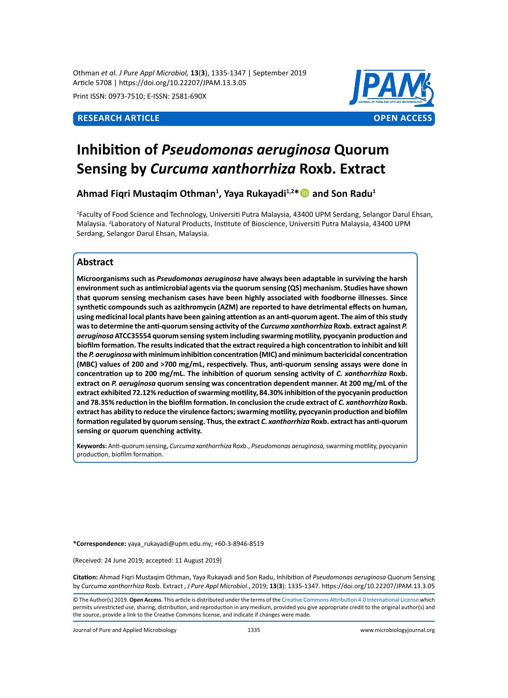Othman *et al. J Pure Appl Microbiol,* **13**(**3**), 1335-1347 | September 2019 Article 5708 | https://doi.org/10.22207/JPAM.13.3.05

Print ISSN: 0973-7510; E-ISSN: 2581-690X



# **Inhibition of** *Pseudomonas aeruginosa* **Quorum Sensing by** *Curcuma xanthorrhiza* **Roxb. Extract**

**Ahmad Fiqri Mustaqim Othman1 , Yaya Rukayadi1,2\* and Son Radu1**

1 Faculty of Food Science and Technology, Universiti Putra Malaysia, 43400 UPM Serdang, Selangor Darul Ehsan, Malaysia. <sup>2</sup>Laboratory of Natural Products, Institute of Bioscience, Universiti Putra Malaysia, 43400 UPM Serdang, Selangor Darul Ehsan, Malaysia.

# **Abstract**

**Microorganisms such as** *Pseudomonas aeruginosa* **have always been adaptable in surviving the harsh environment such as antimicrobial agents via the quorum sensing (QS) mechanism. Studies have shown that quorum sensing mechanism cases have been highly associated with foodborne illnesses. Since synthetic compounds such as azithromycin (AZM) are reported to have detrimental effects on human, using medicinal local plants have been gaining attention as an anti-quorum agent. The aim of this study was to determine the anti-quorum sensing activity of the** *Curcuma xanthorrhiza* **Roxb. extract against** *P. aeruginosa* **ATCC35554 quorum sensing system including swarming motility, pyocyanin production and biofilm formation. The results indicated that the extract required a high concentration to inhibit and kill the** *P. aeruginosa* **with minimum inhibition concentration (MIC) and minimum bactericidal concentration (MBC) values of 200 and >700 mg/mL, respectively. Thus, anti-quorum sensing assays were done in concentration up to 200 mg/mL. The inhibition of quorum sensing activity of** *C. xanthorrhiza* **Roxb. extract on** *P. aeruginosa* **quorum sensing was concentration dependent manner. At 200 mg/mL of the extract exhibited 72.12% reduction of swarming motility, 84.30% inhibition of the pyocyanin production and 78.35% reduction in the biofilm formation. In conclusion the crude extract of** *C. xanthorrhiza* **Roxb. extract has ability to reduce the virulence factors; swarming motility, pyocyanin production and biofilm formation regulated by quorum sensing. Thus, the extract** *C. xanthorrhiza* **Roxb. extract has anti-quorum sensing or quorum quenching activity.** 

**Keywords:** Anti-quorum sensing, *Curcuma xanthorrhiza* Roxb., *Pseudomonas aeruginosa,* swarming motility, pyocyanin production, biofilm formation.

**\*Correspondence:** yaya\_rukayadi@upm.edu.my; +60-3-8946-8519

(Received: 24 June 2019; accepted: 11 August 2019)

**Citation:** Ahmad Fiqri Mustaqim Othman, Yaya Rukayadi and Son Radu, Inhibition of *Pseudomonas aeruginosa* Quorum Sensing by *Curcuma xanthorrhiza* Roxb. Extract , *J Pure Appl Microbiol*., 2019; **13**(**3**): 1335-1347. https://doi.org/10.22207/JPAM.13.3.05

© The Author(s) 2019. **Open Access**. This article is distributed under the terms of the [Creative Commons Attribution 4.0 International License](https://creativecommons.org/licenses/by/4.0/) which permits unrestricted use, sharing, distribution, and reproduction in any medium, provided you give appropriate credit to the original author(s) and the source, provide a link to the Creative Commons license, and indicate if changes were made.

Journal of Pure and Applied Microbiology 1335 www.microbiologyjournal.org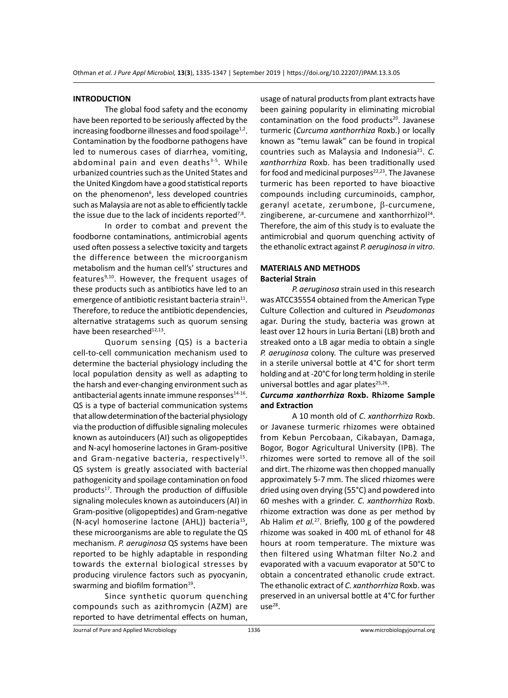#### **INTRODUCTION**

The global food safety and the economy have been reported to be seriously affected by the increasing foodborne illnesses and food spoilage $1,2$ . Contamination by the foodborne pathogens have led to numerous cases of diarrhea, vomiting, abdominal pain and even deaths $3-5$ . While urbanized countries such as the United States and the United Kingdom have a good statistical reports on the phenomenon<sup>6</sup>, less developed countries such as Malaysia are not as able to efficiently tackle the issue due to the lack of incidents reported $7,8$ .

In order to combat and prevent the foodborne contaminations, antimicrobial agents used often possess a selective toxicity and targets the difference between the microorganism metabolism and the human cell's' structures and features $9,10$ . However, the frequent usages of these products such as antibiotics have led to an emergence of antibiotic resistant bacteria strain $11$ . Therefore, to reduce the antibiotic dependencies, alternative stratagems such as quorum sensing have been researched<sup>12,13</sup>.

Quorum sensing (QS) is a bacteria cell-to-cell communication mechanism used to determine the bacterial physiology including the local population density as well as adapting to the harsh and ever-changing environment such as antibacterial agents innate immune responses $14-16$ . QS is a type of bacterial communication systems that allow determination of the bacterial physiology via the production of diffusible signaling molecules known as autoinducers (AI) such as oligopeptides and N-acyl homoserine lactones in Gram-positive and Gram-negative bacteria, respectively<sup>15</sup>. QS system is greatly associated with bacterial pathogenicity and spoilage contamination on food products $17$ . Through the production of diffusible signaling molecules known as autoinducers (AI) in Gram-positive (oligopeptides) and Gram-negative (N-acyl homoserine lactone (AHL)) bacteria<sup>15</sup>, these microorganisms are able to regulate the QS mechanism. *P. aeruginosa* QS systems have been reported to be highly adaptable in responding towards the external biological stresses by producing virulence factors such as pyocyanin, swarming and biofilm formation<sup>19</sup>.

Since synthetic quorum quenching compounds such as azithromycin (AZM) are reported to have detrimental effects on human, usage of natural products from plant extracts have been gaining popularity in eliminating microbial contamination on the food products<sup>20</sup>. Javanese turmeric (*Curcuma xanthorrhiza* Roxb.) or locally known as "temu lawak" can be found in tropical countries such as Malaysia and Indonesia<sup>21</sup>. C. *xanthorrhiza* Roxb. has been traditionally used for food and medicinal purposes $22,23$ . The Javanese turmeric has been reported to have bioactive compounds including curcuminoids, camphor, geranyl acetate, zerumbone, b-curcumene, zingiberene, ar-curcumene and xanthorrhizol $^{24}$ . Therefore, the aim of this study is to evaluate the antimicrobial and quorum quenching activity of the ethanolic extract against *P. aeruginosa in vitro*.

# **MATERIALS AND METHODS Bacterial Strain**

*P. aeruginosa* strain used in this research was ATCC35554 obtained from the American Type Culture Collection and cultured in *Pseudomonas* agar. During the study, bacteria was grown at least over 12 hours in Luria Bertani (LB) broth and streaked onto a LB agar media to obtain a single *P. aeruginosa* colony. The culture was preserved in a sterile universal bottle at 4°C for short term holding and at -20°C for long term holding in sterile universal bottles and agar plates $25,26$ .

# *Curcuma xanthorrhiza* **Roxb. Rhizome Sample and Extraction**

A 10 month old of *C. xanthorrhiza* Roxb. or Javanese turmeric rhizomes were obtained from Kebun Percobaan, Cikabayan, Damaga, Bogor, Bogor Agricultural University (IPB). The rhizomes were sorted to remove all of the soil and dirt. The rhizome was then chopped manually approximately 5-7 mm. The sliced rhizomes were dried using oven drying (55°C) and powdered into 60 meshes with a grinder. *C. xanthorrhiza* Roxb. rhizome extraction was done as per method by Ab Halim *et al.*<sup>27</sup>. Briefly, 100 g of the powdered rhizome was soaked in 400 mL of ethanol for 48 hours at room temperature. The mixture was then filtered using Whatman filter No.2 and evaporated with a vacuum evaporator at 50°C to obtain a concentrated ethanolic crude extract. The ethanolic extract of *C. xanthorrhiza* Roxb. was preserved in an universal bottle at 4°C for further  $use^{28}$ .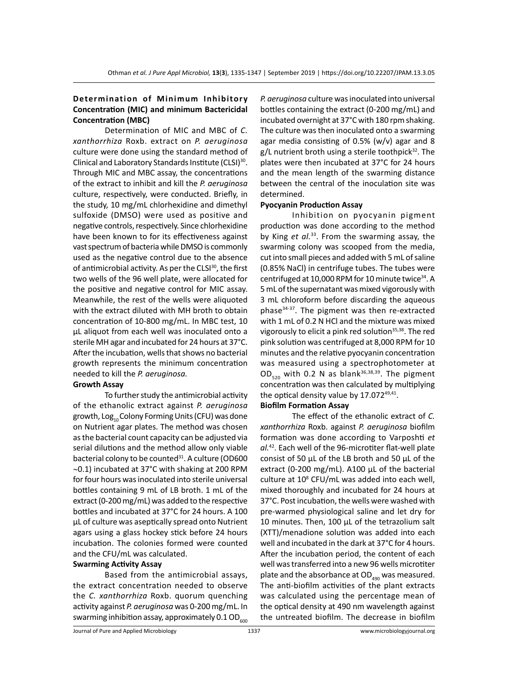# **Determination of Minimum Inhibitory Concentration (MIC) and minimum Bactericidal Concentration (MBC)**

Determination of MIC and MBC of *C. xanthorrhiza* Roxb. extract on *P. aeruginosa* culture were done using the standard method of Clinical and Laboratory Standards Institute (CLSI)<sup>30</sup>. Through MIC and MBC assay, the concentrations of the extract to inhibit and kill the *P. aeruginosa* culture, respectively, were conducted. Briefly, in the study, 10 mg/mL chlorhexidine and dimethyl sulfoxide (DMSO) were used as positive and negative controls, respectively. Since chlorhexidine have been known to for its effectiveness against vast spectrum of bacteria while DMSO is commonly used as the negative control due to the absence of antimicrobial activity. As per the CLSI<sup>30</sup>, the first two wells of the 96 well plate, were allocated for the positive and negative control for MIC assay. Meanwhile, the rest of the wells were aliquoted with the extract diluted with MH broth to obtain concentration of 10-800 mg/mL. In MBC test, 10 µL aliquot from each well was inoculated onto a sterile MH agar and incubated for 24 hours at 37°C. After the incubation, wells that shows no bacterial growth represents the minimum concentration needed to kill the *P. aeruginosa.*

# **Growth Assay**

To further study the antimicrobial activity of the ethanolic extract against *P. aeruginosa* growth,  $Log_{10}$  Colony Forming Units (CFU) was done on Nutrient agar plates. The method was chosen as the bacterial count capacity can be adjusted via serial dilutions and the method allow only viable bacterial colony to be counted<sup>31</sup>. A culture (OD600 ∼0.1) incubated at 37°C with shaking at 200 RPM for four hours was inoculated into sterile universal bottles containing 9 mL of LB broth. 1 mL of the extract (0-200 mg/mL) was added to the respective bottles and incubated at 37°C for 24 hours. A 100 µL of culture was aseptically spread onto Nutrient agars using a glass hockey stick before 24 hours incubation. The colonies formed were counted and the CFU/mL was calculated.

# **Swarming Activity Assay**

Based from the antimicrobial assays, the extract concentration needed to observe the *C. xanthorrhiza* Roxb. quorum quenching activity against *P. aeruginosa* was 0-200 mg/mL. In swarming inhibition assay, approximately  $0.1$  OD<sub>600</sub> *P. aeruginosa* culture was inoculated into universal bottles containing the extract (0-200 mg/mL) and incubated overnight at 37°C with 180 rpm shaking. The culture was then inoculated onto a swarming agar media consisting of 0.5% (w/v) agar and 8  $g/L$  nutrient broth using a sterile toothpick<sup>32</sup>. The plates were then incubated at 37°C for 24 hours and the mean length of the swarming distance between the central of the inoculation site was determined.

#### **Pyocyanin Production Assay**

Inhibition on pyocyanin pigment production was done according to the method by King *et al.*<sup>33</sup>. From the swarming assay, the swarming colony was scooped from the media, cut into small pieces and added with 5 mL of saline (0.85% NaCl) in centrifuge tubes. The tubes were centrifuged at 10,000 RPM for 10 minute twice $34$ . A 5 mL of the supernatant was mixed vigorously with 3 mL chloroform before discarding the aqueous phase34-37. The pigment was then re-extracted with 1 mL of 0.2 N HCl and the mixture was mixed vigorously to elicit a pink red solution<sup>35,38</sup>. The red pink solution was centrifuged at 8,000 RPM for 10 minutes and the relative pyocyanin concentration was measured using a spectrophotometer at  $OD_{520}$  with 0.2 N as blank<sup>36,38,39</sup>. The pigment concentration was then calculated by multiplying the optical density value by 17.07249,41.

# **Biofilm Formation Assay**

The effect of the ethanolic extract of *C. xanthorrhiza* Roxb. against *P. aeruginosa* biofilm formation was done according to Varposhti *et al.*<sup>42</sup>. Each well of the 96-microtiter flat-well plate consist of 50  $\mu$ L of the LB broth and 50  $\mu$ L of the extract (0-200 mg/mL). A100 µL of the bacterial culture at 10<sup>8</sup> CFU/mL was added into each well, mixed thoroughly and incubated for 24 hours at 37°C. Post incubation, the wells were washed with pre-warmed physiological saline and let dry for 10 minutes. Then, 100 µL of the tetrazolium salt (XTT)/menadione solution was added into each well and incubated in the dark at 37°C for 4 hours. After the incubation period, the content of each well was transferred into a new 96 wells microtiter plate and the absorbance at  $OD_{_{490}}$  was measured. The anti-biofilm activities of the plant extracts was calculated using the percentage mean of the optical density at 490 nm wavelength against the untreated biofilm. The decrease in biofilm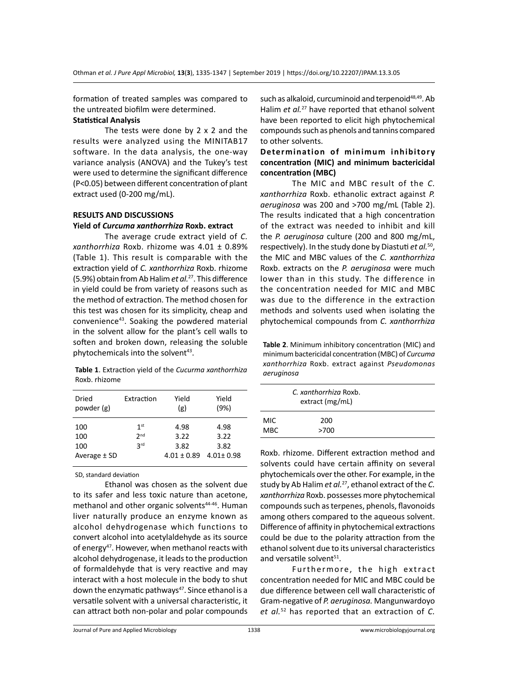formation of treated samples was compared to the untreated biofilm were determined.

# **Statistical Analysis**

The tests were done by  $2 \times 2$  and the results were analyzed using the MINITAB17 software. In the data analysis, the one-way variance analysis (ANOVA) and the Tukey's test were used to determine the significant difference (P<0.05) between different concentration of plant extract used (0-200 mg/mL).

#### **RESULTS AND DISCUSSIONS**

#### **Yield of** *Curcuma xanthorrhiza* **Roxb. extract**

The average crude extract yield of *C. xanthorrhiza* Roxb. rhizome was 4.01 ± 0.89% (Table 1). This result is comparable with the extraction yield of *C. xanthorrhiza* Roxb. rhizome (5.9%) obtain from Ab Halim *et al.*<sup>27</sup>. This difference in yield could be from variety of reasons such as the method of extraction. The method chosen for this test was chosen for its simplicity, cheap and convenience43. Soaking the powdered material in the solvent allow for the plant's cell walls to soften and broken down, releasing the soluble phytochemicals into the solvent<sup>43</sup>.

**Table 1**. Extraction yield of the *Cucurma xanthorrhiza* Roxb. rhizome

| Dried            | Extraction      | Yield           | Yield           |
|------------------|-----------------|-----------------|-----------------|
| powder (g)       |                 | (g)             | (9%)            |
| 100              | 1 <sup>st</sup> | 4.98            | 4.98            |
| 100              | 2 <sub>nd</sub> | 3.22            | 3.22            |
| 100              | <b>3rd</b>      | 3.82            | 3.82            |
| Average $\pm$ SD |                 | $4.01 \pm 0.89$ | $4.01 \pm 0.98$ |

SD, standard deviation

Ethanol was chosen as the solvent due to its safer and less toxic nature than acetone, methanol and other organic solvents<sup>44-46</sup>. Human liver naturally produce an enzyme known as alcohol dehydrogenase which functions to convert alcohol into acetylaldehyde as its source of energy<sup>47</sup>. However, when methanol reacts with alcohol dehydrogenase, it leads to the production of formaldehyde that is very reactive and may interact with a host molecule in the body to shut down the enzymatic pathways<sup>47</sup>. Since ethanol is a versatile solvent with a universal characteristic, it can attract both non-polar and polar compounds such as alkaloid, curcuminoid and terpenoid<sup>48,49</sup>. Ab Halim *et al.*<sup>27</sup> have reported that ethanol solvent have been reported to elicit high phytochemical compounds such as phenols and tannins compared to other solvents.

# **Determination of minimum inhibitory concentration (MIC) and minimum bactericidal concentration (MBC)**

The MIC and MBC result of the *C. xanthorrhiza* Roxb. ethanolic extract against *P. aeruginosa* was 200 and >700 mg/mL (Table 2). The results indicated that a high concentration of the extract was needed to inhibit and kill the *P. aeruginosa* culture (200 and 800 mg/mL, respectively). In the study done by Diastuti *et al.*50, the MIC and MBC values of the *C. xanthorrhiza*  Roxb. extracts on the *P. aeruginosa* were much lower than in this study. The difference in the concentration needed for MIC and MBC was due to the difference in the extraction methods and solvents used when isolating the phytochemical compounds from *C. xanthorrhiza*

**Table 2**. Minimum inhibitory concentration (MIC) and minimum bactericidal concentration (MBC) of *Curcuma xanthorrhiza* Roxb. extract against *Pseudomonas aeruginosa*

| C. xanthorrhiza Roxb.<br>extract (mg/mL) |             |  |
|------------------------------------------|-------------|--|
| MIC.<br><b>MBC</b>                       | 200<br>>700 |  |

Roxb. rhizome. Different extraction method and solvents could have certain affinity on several phytochemicals over the other. For example, in the study by Ab Halim *et al.*<sup>27</sup>, ethanol extract of the *C. xanthorrhiza* Roxb. possesses more phytochemical compounds such as terpenes, phenols, flavonoids among others compared to the aqueous solvent. Difference of affinity in phytochemical extractions could be due to the polarity attraction from the ethanol solvent due to its universal characteristics and versatile solvent<sup>51</sup>.

Furthermore, the high extract concentration needed for MIC and MBC could be due difference between cell wall characteristic of Gram-negative of *P. aeruginosa.* Mangunwardoyo *et al.*52 has reported that an extraction of *C.*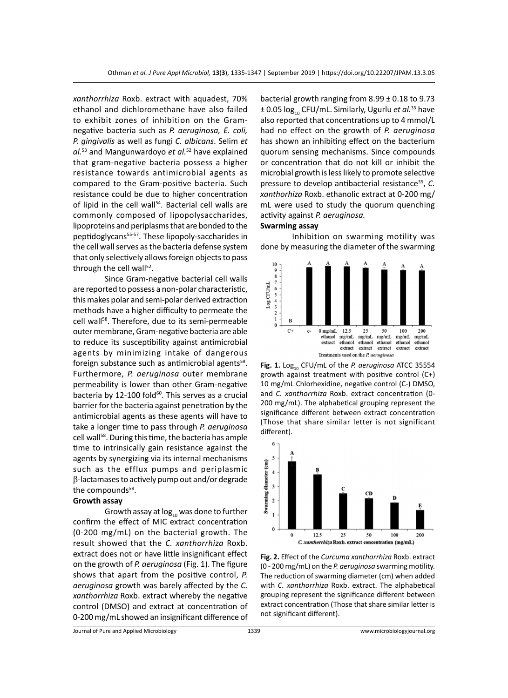*xanthorrhiza* Roxb. extract with aquadest, 70% ethanol and dichloromethane have also failed to exhibit zones of inhibition on the Gramnegative bacteria such as *P. aeruginosa, E. coli, P. gingivalis* as well as fungi *C. albicans*. Selim *et al.*53 and Mangunwardoyo *et al.*<sup>52</sup> have explained that gram-negative bacteria possess a higher resistance towards antimicrobial agents as compared to the Gram-positive bacteria. Such resistance could be due to higher concentration of lipid in the cell wall<sup>54</sup>. Bacterial cell walls are commonly composed of lipopolysaccharides, lipoproteins and periplasms that are bonded to the peptidoglycans<sup>55-57</sup>. These lipopoly-saccharides in the cell wall serves as the bacteria defense system that only selectively allows foreign objects to pass through the cell wall<sup>52</sup>.

Since Gram-negative bacterial cell walls are reported to possess a non-polar characteristic, this makes polar and semi-polar derived extraction methods have a higher difficulty to permeate the cell wall<sup>58</sup>. Therefore, due to its semi-permeable outer membrane, Gram-negative bacteria are able to reduce its susceptibility against antimicrobial agents by minimizing intake of dangerous foreign substance such as antimicrobial agents<sup>59</sup>. Furthermore, *P. aeruginosa* outer membrane permeability is lower than other Gram-negative bacteria by 12-100 fold $60$ . This serves as a crucial barrier for the bacteria against penetration by the antimicrobial agents as these agents will have to take a longer time to pass through *P. aeruginosa*  cell wall<sup>58</sup>. During this time, the bacteria has ample time to intrinsically gain resistance against the agents by synergizing via its internal mechanisms such as the efflux pumps and periplasmic  $\beta$ -lactamases to actively pump out and/or degrade the compounds<sup>58</sup>.

#### **Growth assay**

Growth assay at  $log_{10}$  was done to further confirm the effect of MIC extract concentration (0-200 mg/mL) on the bacterial growth. The result showed that the *C. xanthorrhiza* Roxb. extract does not or have little insignificant effect on the growth of *P. aeruginosa* (Fig. 1). The figure shows that apart from the positive control, *P. aeruginosa* growth was barely affected by the *C. xanthorrhiza* Roxb. extract whereby the negative control (DMSO) and extract at concentration of 0-200 mg/mL showed an insignificant difference of bacterial growth ranging from 8.99 ± 0.18 to 9.73  $\pm$  0.05 log<sub>10</sub> CFU/mL. Similarly, Ugurlu *et al.*<sup>35</sup> have also reported that concentrations up to 4 mmol/L had no effect on the growth of *P. aeruginosa* has shown an inhibiting effect on the bacterium quorum sensing mechanisms. Since compounds or concentration that do not kill or inhibit the microbial growth is less likely to promote selective pressure to develop antibacterial resistance<sup>35</sup>, *C*. *xanthorhiza* Roxb. ethanolic extract at 0-200 mg/ mL were used to study the quorum quenching activity against *P. aeruginosa.*

# **Swarming assay**

Inhibition on swarming motility was done by measuring the diameter of the swarming



Fig. 1. Log<sub>10</sub> CFU/mL of the *P. aeruginosa* ATCC 35554 growth against treatment with positive control (C+) 10 mg/mL Chlorhexidine, negative control (C-) DMSO, and *C. xanthorrhiza* Roxb. extract concentration (0- 200 mg/mL). The alphabetical grouping represent the significance different between extract concentration (Those that share similar letter is not significant different).



**Fig. 2.** Effect of the *Curcuma xanthorrhiza* Roxb. extract (0 - 200 mg/mL) on the *P. aeruginosa* swarming motility. The reduction of swarming diameter (cm) when added with *C. xanthorrhiza* Roxb. extract. The alphabetical grouping represent the significance different between extract concentration (Those that share similar letter is not significant different).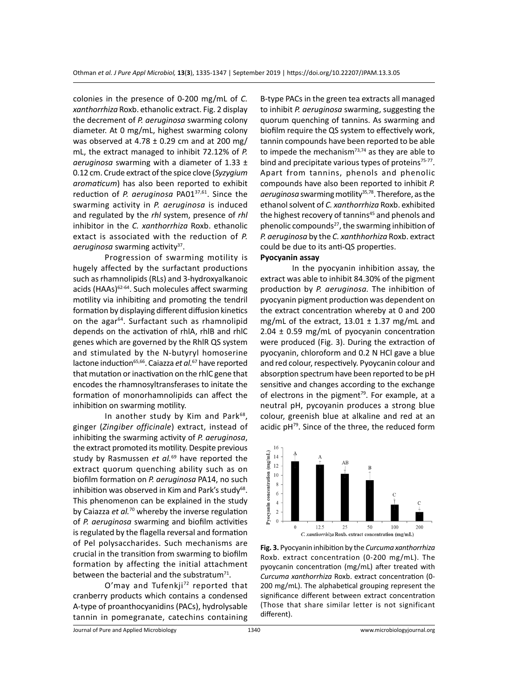colonies in the presence of 0-200 mg/mL of *C. xanthorrhiza* Roxb. ethanolic extract. Fig. 2 display the decrement of *P. aeruginosa* swarming colony diameter. At 0 mg/mL, highest swarming colony was observed at 4.78  $\pm$  0.29 cm and at 200 mg/ mL, the extract managed to inhibit 72.12% of *P. aeruginosa* swarming with a diameter of 1.33 ± 0.12 cm. Crude extract of the spice clove (*Syzygium aromaticum*) has also been reported to exhibit reduction of *P. aeruginosa* PA0137,61. Since the swarming activity in *P. aeruginosa* is induced and regulated by the *rhl* system, presence of *rhl* inhibitor in the *C. xanthorrhiza* Roxb. ethanolic extact is associated with the reduction of *P.*  aeruginosa swarming activity<sup>37</sup>.

Progression of swarming motility is hugely affected by the surfactant productions such as rhamnolipids (RLs) and 3-hydroxyalkanoic acids (HAAs)<sup>62-64</sup>. Such molecules affect swarming motility via inhibiting and promoting the tendril formation by displaying different diffusion kinetics on the agar<sup>64</sup>. Surfactant such as rhamnolipid depends on the activation of rhlA, rhlB and rhlC genes which are governed by the RhlR QS system and stimulated by the N-butyryl homoserine lactone induction<sup>65,66</sup>. Caiazza et al.<sup>67</sup> have reported that mutation or inactivation on the rhlC gene that encodes the rhamnosyltransferases to initate the formation of monorhamnolipids can affect the inhibition on swarming motility.

In another study by Kim and Park<sup>68</sup>, ginger (*Zingiber officinale*) extract, instead of inhibiting the swarming activity of *P. aeruginosa*, the extract promoted its motility. Despite previous study by Rasmussen *et al.*69 have reported the extract quorum quenching ability such as on biofilm formation on *P. aeruginosa* PA14, no such inhibition was observed in Kim and Park's study $^{68}$ . This phenomenon can be explained in the study by Caiazza *et al.*<sup>70</sup> whereby the inverse regulation of *P. aeruginosa* swarming and biofilm activities is regulated by the flagella reversal and formation of Pel polysaccharides. Such mechanisms are crucial in the transition from swarming to biofilm formation by affecting the initial attachment between the bacterial and the substratum $71$ .

O'may and Tufenkji<sup>72</sup> reported that cranberry products which contains a condensed A-type of proanthocyanidins (PACs), hydrolysable tannin in pomegranate, catechins containing B-type PACs in the green tea extracts all managed to inhibit *P. aeruginosa* swarming, suggesting the quorum quenching of tannins. As swarming and biofilm require the QS system to effectively work, tannin compounds have been reported to be able to impede the mechanism $73,74$  as they are able to bind and precipitate various types of proteins<sup>75-77</sup>. Apart from tannins, phenols and phenolic compounds have also been reported to inhibit *P.*  aeruginosa swarming motility<sup>35,78</sup>. Therefore, as the ethanol solvent of *C. xanthorrhiza* Roxb. exhibited the highest recovery of tannins<sup>45</sup> and phenols and phenolic compounds<sup>27</sup>, the swarming inhibition of *P. aeruginosa* by the *C. xanthhorhiza* Roxb. extract could be due to its anti-QS properties.

# **Pyocyanin assay**

In the pyocyanin inhibition assay, the extract was able to inhibit 84.30% of the pigment production by *P. aeruginosa.* The inhibition of pyocyanin pigment production was dependent on the extract concentration whereby at 0 and 200 mg/mL of the extract,  $13.01 \pm 1.37$  mg/mL and 2.04 ± 0.59 mg/mL of pyocyanin concentration were produced (Fig. 3). During the extraction of pyocyanin, chloroform and 0.2 N HCl gave a blue and red colour, respectively. Pyoycanin colour and absorption spectrum have been reported to be pH sensitive and changes according to the exchange of electrons in the pigment<sup>79</sup>. For example, at a neutral pH, pycoyanin produces a strong blue colour, greenish blue at alkaline and red at an acidic pH<sup>79</sup>. Since of the three, the reduced form



**Fig. 3.** Pyocyanin inhibition by the *Curcuma xanthorrhiza*  Roxb. extract concentration (0-200 mg/mL). The pyoycanin concentration (mg/mL) after treated with *Curcuma xanthorrhiza* Roxb. extract concentration (0- 200 mg/mL). The alphabetical grouping represent the significance different between extract concentration (Those that share similar letter is not significant different).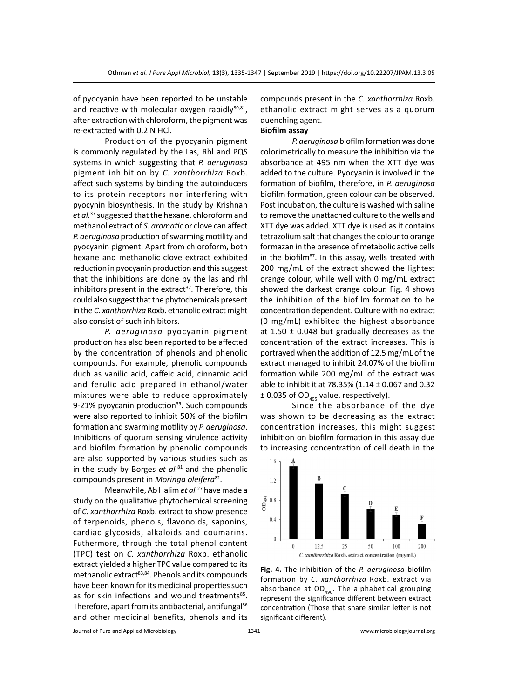of pyocyanin have been reported to be unstable and reactive with molecular oxygen rapidly $80,81$ , after extraction with chloroform, the pigment was re-extracted with 0.2 N HCl.

Production of the pyocyanin pigment is commonly regulated by the Las, Rhl and PQS systems in which suggesting that *P. aeruginosa* pigment inhibition by *C. xanthorrhiza* Roxb. affect such systems by binding the autoinducers to its protein receptors nor interfering with pyocynin biosynthesis. In the study by Krishnan *et al.*<sup>37</sup> suggested that the hexane, chloroform and methanol extract of *S. aromatic* or clove can affect *P. aeruginosa* production of swarming motility and pyocyanin pigment. Apart from chloroform, both hexane and methanolic clove extract exhibited reduction in pyocyanin production and this suggest that the inhibitions are done by the las and rhl inhibitors present in the extract<sup>37</sup>. Therefore, this could also suggest that the phytochemicals present in the *C. xanthorrhiza* Roxb. ethanolic extract might also consist of such inhibitors.

*P. aeruginosa* pyocyanin pigment production has also been reported to be affected by the concentration of phenols and phenolic compounds. For example, phenolic compounds duch as vanilic acid, caffeic acid, cinnamic acid and ferulic acid prepared in ethanol/water mixtures were able to reduce approximately 9-21% pyoycanin production<sup>35</sup>. Such compounds were also reported to inhibit 50% of the biofilm formation and swarming motility by *P. aeruginosa*. Inhibitions of quorum sensing virulence activity and biofilm formation by phenolic compounds are also supported by various studies such as in the study by Borges *et al.*<sup>81</sup> and the phenolic compounds present in *Moringa oleifera*82.

Meanwhile, Ab Halim *et al.*27 have made a study on the qualitative phytochemical screening of *C. xanthorrhiza* Roxb. extract to show presence of terpenoids, phenols, flavonoids, saponins, cardiac glycosids, alkaloids and coumarins. Futhermore, through the total phenol content (TPC) test on *C. xanthorrhiza* Roxb. ethanolic extract yielded a higher TPC value compared to its methanolic extract $83,84$ . Phenols and its compounds have been known for its medicinal properties such as for skin infections and wound treatments<sup>85</sup>. Therefore, apart from its antibacterial, antifungal<sup>86</sup> and other medicinal benefits, phenols and its compounds present in the *C. xanthorrhiza* Roxb. ethanolic extract might serves as a quorum quenching agent.

# **Biofilm assay**

*P. aeruginosa* biofilm formation was done colorimetrically to measure the inhibition via the absorbance at 495 nm when the XTT dye was added to the culture. Pyocyanin is involved in the formation of biofilm, therefore, in *P. aeruginosa* biofilm formation, green colour can be observed. Post incubation, the culture is washed with saline to remove the unattached culture to the wells and XTT dye was added. XTT dye is used as it contains tetrazolium salt that changes the colour to orange formazan in the presence of metabolic active cells in the biofilm<sup>87</sup>. In this assay, wells treated with 200 mg/mL of the extract showed the lightest orange colour, while well with 0 mg/mL extract showed the darkest orange colour. Fig. 4 shows the inhibition of the biofilm formation to be concentration dependent. Culture with no extract (0 mg/mL) exhibited the highest absorbance at  $1.50 \pm 0.048$  but gradually decreases as the concentration of the extract increases. This is portrayed when the addition of 12.5 mg/mL of the extract managed to inhibit 24.07% of the biofilm formation while 200 mg/mL of the extract was able to inhibit it at 78.35% (1.14 ± 0.067 and 0.32  $\pm$  0.035 of OD<sub>495</sub> value, respectively).

Since the absorbance of the dye was shown to be decreasing as the extract concentration increases, this might suggest inhibition on biofilm formation in this assay due to increasing concentration of cell death in the



**Fig. 4.** The inhibition of the *P. aeruginosa* biofilm formation by *C. xanthorrhiza* Roxb. extract via absorbance at  $OD_{490}$ . The alphabetical grouping represent the significance different between extract concentration (Those that share similar letter is not significant different).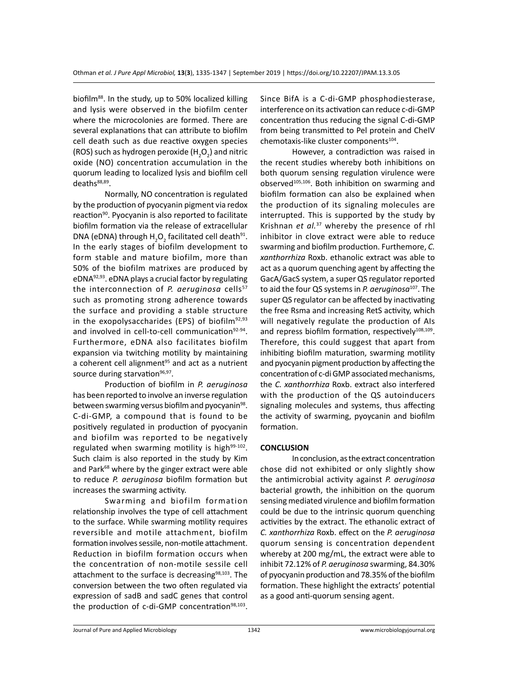biofilm<sup>88</sup>. In the study, up to 50% localized killing and lysis were observed in the biofilm center where the microcolonies are formed. There are several explanations that can attribute to biofilm cell death such as due reactive oxygen species (ROS) such as hydrogen peroxide ( $H_2O_2$ ) and nitric oxide (NO) concentration accumulation in the quorum leading to localized lysis and biofilm cell deaths88,89.

Normally, NO concentration is regulated by the production of pyocyanin pigment via redox reaction<sup>90</sup>. Pyocyanin is also reported to facilitate biofilm formation via the release of extracellular DNA (eDNA) through  $H_2O_2$  facilitated cell death<sup>91</sup>. In the early stages of biofilm development to form stable and mature biofilm, more than 50% of the biofilm matrixes are produced by eDNA $92,93$ . eDNA plays a crucial factor by regulating the interconnection of *P. aeruginosa* cells<sup>57</sup> such as promoting strong adherence towards the surface and providing a stable structure in the exopolysaccharides (EPS) of biofilm<sup>92,93</sup> and involved in cell-to-cell communication<sup>92-94</sup>. Furthermore, eDNA also facilitates biofilm expansion via twitching motility by maintaining a coherent cell alignment<sup>95</sup> and act as a nutrient source during starvation<sup>96,97</sup>.

Production of biofilm in *P. aeruginosa*  has been reported to involve an inverse regulation between swarming versus biofilm and pyocyanin<sup>98</sup>. C-di-GMP, a compound that is found to be positively regulated in production of pyocyanin and biofilm was reported to be negatively regulated when swarming motility is high $99-102$ . Such claim is also reported in the study by Kim and Park<sup>68</sup> where by the ginger extract were able to reduce *P. aeruginosa* biofilm formation but increases the swarming activity.

Swarming and biofilm formation relationship involves the type of cell attachment to the surface. While swarming motility requires reversible and motile attachment, biofilm formation involves sessile, non-motile attachment. Reduction in biofilm formation occurs when the concentration of non-motile sessile cell attachment to the surface is decreasing<sup>98,103</sup>. The conversion between the two often regulated via expression of sadB and sadC genes that control the production of c-di-GMP concentration $98,103$ . Since BifA is a C-di-GMP phosphodiesterase, interference on its activation can reduce c-di-GMP concentration thus reducing the signal C-di-GMP from being transmitted to Pel protein and CheIV chemotaxis-like cluster components<sup>104</sup>.

However, a contradiction was raised in the recent studies whereby both inhibitions on both quorum sensing regulation virulence were observed<sup>105,106</sup>. Both inhibition on swarming and biofilm formation can also be explained when the production of its signaling molecules are interrupted. This is supported by the study by Krishnan *et al.*<sup>37</sup> whereby the presence of rhl inhibitor in clove extract were able to reduce swarming and biofilm production. Furthemore, *C. xanthorrhiza* Roxb. ethanolic extract was able to act as a quorum quenching agent by affecting the GacA/GacS system, a super QS regulator reported to aid the four QS systems in *P. aeruginosa*107. The super QS regulator can be affected by inactivating the free Rsma and increasing RetS activity, which will negatively regulate the production of AIs and repress biofilm formation, respectively $108,109$ . Therefore, this could suggest that apart from inhibiting biofilm maturation, swarming motility and pyocyanin pigment production by affecting the concentration of c-di GMP associated mechanisms, the *C. xanthorrhiza* Roxb. extract also interfered with the production of the QS autoinducers signaling molecules and systems, thus affecting the activity of swarming, pyoycanin and biofilm formation.

#### **CONCLUSION**

In conclusion, as the extract concentration chose did not exhibited or only slightly show the antimicrobial activity against *P. aeruginosa* bacterial growth, the inhibition on the quorum sensing mediated virulence and biofilm formation could be due to the intrinsic quorum quenching activities by the extract. The ethanolic extract of *C. xanthorrhiza* Roxb. effect on the *P. aeruginosa* quorum sensing is concentration dependent whereby at 200 mg/mL, the extract were able to inhibit 72.12% of *P. aeruginosa* swarming, 84.30% of pyocyanin production and 78.35% of the biofilm formation. These highlight the extracts' potential as a good anti-quorum sensing agent.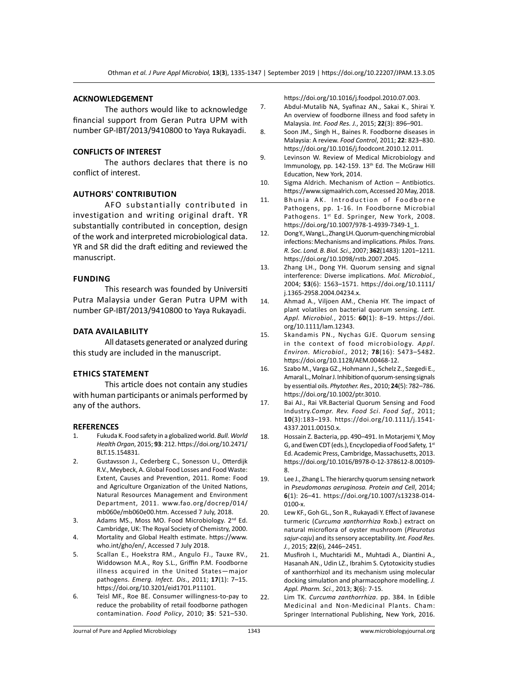#### **ACKNOWLEDGEMENT**

The authors would like to acknowledge financial support from Geran Putra UPM with number GP-IBT/2013/9410800 to Yaya Rukayadi.

# **CONFLICTS OF INTEREST**

The authors declares that there is no conflict of interest.

# **Authors' Contribution**

AFO substantially contributed in investigation and writing original draft. YR substantially contributed in conception, design of the work and interpreted microbiological data. YR and SR did the draft editing and reviewed the manuscript.

#### **Funding**

This research was founded by Universiti Putra Malaysia under Geran Putra UPM with number GP-IBT/2013/9410800 to Yaya Rukayadi.

#### **Data Availability**

All datasets generated or analyzed during this study are included in the manuscript.

#### **Ethics Statement**

This article does not contain any studies with human participants or animals performed by any of the authors.

#### **REFERENCES**

- 1. Fukuda K. Food safety in a globalized world. *Bull. World Health Organ*, 2015; **93**: 212. https://doi.org/10.2471/ BLT.15.154831.
- 2. Gustavsson J., Cederberg C., Sonesson U., Otterdijk R.V., Meybeck, A. Global Food Losses and Food Waste: Extent, Causes and Prevention, 2011. Rome: Food and Agriculture Organization of the United Nations, Natural Resources Management and Environment Department, 2011. www.fao.org/docrep/014/ mb060e/mb060e00.htm. Accessed 7 July, 2018.
- 3. Adams MS., Moss MO. Food Microbiology. 2<sup>nd</sup> Ed. Cambridge, UK: The Royal Society of Chemistry, 2000.
- 4. Mortality and Global Health estimate. https://www. who.int/gho/en/, Accessed 7 July 2018.
- 5. Scallan E., Hoekstra RM., Angulo FJ., Tauxe RV., Widdowson M.A., Roy S.L., Griffin P.M. Foodborne illness acquired in the United States—major pathogens. *Emerg. Infect. Dis*., 2011; **17**(1): 7–15. https://doi.org/10.3201/eid1701.P11101.
- 6. Teisl MF., Roe BE. Consumer willingness-to-pay to reduce the probability of retail foodborne pathogen contamination. *Food Policy*, 2010; **35**: 521–530.

https://doi.org/10.1016/j.foodpol.2010.07.003.

- 7. Abdul-Mutalib NA, Syafinaz AN., Sakai K., Shirai Y. An overview of foodborne illness and food safety in Malaysia. *Int. Food Res. J.*, 2015; **22**(3): 896–901.
- 8. Soon JM., Singh H., Baines R. Foodborne diseases in Malaysia: A review. *Food Control*, 2011; **22**: 823–830. https://doi.org/10.1016/j.foodcont.2010.12.011.
- 9. Levinson W. Review of Medical Microbiology and Immunology, pp. 142-159. 13<sup>th</sup> Ed. The McGraw Hill Education, New York, 2014.
- 10. Sigma Aldrich. Mechanism of Action Antibiotics. https://www.sigmaalrich.com, Accessed 20 May, 2018.
- 11. Bhunia AK. Introduction of Foodborne Pathogens, pp. 1-16. In Foodborne Microbial Pathogens. 1st Ed. Springer, New York, 2008. https://doi.org/10.1007/978-1-4939-7349-1\_1.
- 12. Dong Y., Wang L., Zhang LH. Quorum-quenching microbial infections: Mechanisms and implications. *Philos. Trans. R. Soc. Lond. B. Biol. Sci*., 2007; **362**(1483): 1201–1211. https://doi.org/10.1098/rstb.2007.2045.
- 13. Zhang LH., Dong YH. Quorum sensing and signal interference: Diverse implications. *Mol. Microbiol.*, 2004; **53**(6): 1563–1571. https://doi.org/10.1111/ j.1365-2958.2004.04234.x.
- 14. Ahmad A., Viljoen AM., Chenia HY. The impact of plant volatiles on bacterial quorum sensing. *Lett. Appl. Microbiol.*, 2015: **60**(1): 8–19. https://doi. org/10.1111/lam.12343.
- 15. Skandamis PN., Nychas GJE. Quorum sensing in the context of food microbiology. *Appl. Environ. Microbiol.,* 2012; **78**(16): 5473–5482. https://doi.org/10.1128/AEM.00468-12.
- 16. Szabo M., Varga GZ., Hohmann J., Schelz Z., Szegedi E., Amaral L., Molnar J. Inhibition of quorum-sensing signals by essential oils. *Phytother. Res.,* 2010; **24**(5): 782–786. https://doi.org/10.1002/ptr.3010.
- 17. Bai AJ., Rai VR.Bacterial Quorum Sensing and Food Industry.*Compr. Rev. Food Sci*. *Food Saf.,* 2011; **10**(3):183–193. https://doi.org/10.1111/j.1541- 4337.2011.00150.x.
- 18. Hossain Z. Bacteria, pp. 490–491. In Motarjemi Y, Moy G, and Ewen CDT (eds.), Encyclopedia of Food Safety*,* 1st Ed. Academic Press, Cambridge, Massachusetts, 2013. https://doi.org/10.1016/B978-0-12-378612-8.00109- 8.
- 19. Lee J., Zhang L. The hierarchy quorum sensing network in *Pseudomonas aeruginosa. Protein and Cell*, 2014; **6**(1): 26–41. https://doi.org/10.1007/s13238-014- 0100-x.
- 20. Lew KF., Goh GL., Son R., Rukayadi Y. Effect of Javanese turmeric (*Curcuma xanthorrhiza* Roxb.) extract on natural microflora of oyster mushroom (*Pleurotus sajur-caju*) and its sensory acceptability. *Int. Food Res. J.*, 2015; **22**(6), 2446–2451.
- 21. Musfiroh I., Muchtaridi M., Muhtadi A., Diantini A., Hasanah AN., Udin LZ., Ibrahim S. Cytotoxicity studies of xanthorrhizol and its mechanism using molecular docking simulation and pharmacophore modelling. *J. Appl. Pharm. Sci.*, 2013; **3**(6): 7-15.
- 22. Lim TK. *Curcuma zanthorrhiza*. pp. 384. In Edible Medicinal and Non-Medicinal Plants. Cham: Springer International Publishing, New York, 2016.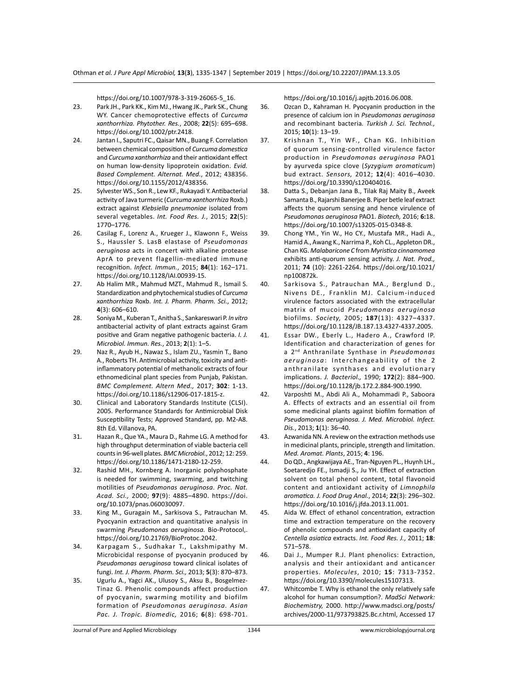https://doi.org/10.1007/978-3-319-26065-5\_16.

- 23. Park JH., Park KK., Kim MJ., Hwang JK., Park SK., Chung WY. Cancer chemoprotective effects of *Curcuma xanthorrhiza. Phytother. Res.*, 2008; **22**(5): 695–698. https://doi.org/10.1002/ptr.2418.
- 24. Jantan I., Saputri FC., Qaisar MN., Buang F. Correlation between chemical composition of *Curcuma domestica*  and *Curcuma xanthorrhiza* and their antioxidant effect on human low-density lipoprotein oxidation. *Evid. Based Complement. Alternat. Med.*, 2012; 438356. https://doi.org/10.1155/2012/438356.
- 25. Sylvester WS., Son R., Lew KF., Rukayadi Y. Antibacterial activity of Java turmeric (*Curcuma xanthorrhiza* Roxb.) extract against *Klebsiella pneumoniae* isolated from several vegetables. *Int. Food Res. J.*, 2015; **22**(5): 1770–1776.
- 26. Casilag F., Lorenz A., Krueger J., Klawonn F., Weiss S., Haussler S. LasB elastase of *Pseudomonas aeruginosa* acts in concert with alkaline protease AprA to prevent flagellin-mediated immune recognition. *Infect. Immun.*, 2015; **84**(1): 162–171. https://doi.org/10.1128/IAI.00939-15.
- 27. Ab Halim MR., Mahmud MZT., Mahmud R., Ismail S. Standardization and phytochemical studies of *Curcuma xanthorrhiza* Roxb. *Int. J. Pharm. Pharm. Sci.*, 2012; **4**(3): 606–610.
- 28. Soniya M., Kuberan T., Anitha S., Sankareswari P. *In vitro* antibacterial activity of plant extracts against Gram positive and Gram negative pathogenic bacteria. *I. J. Microbiol. Immun. Res.*, 2013; **2**(1): 1–5.
- 29. Naz R., Ayub H., Nawaz S., Islam ZU., Yasmin T., Bano A., Roberts TH. Antimicrobial activity, toxicity and antiinflammatory potential of methanolic extracts of four ethnomedicinal plant species from Punjab, Pakistan. *BMC Complement. Altern Med.,* 2017; **302**: 1-13. https://doi.org/10.1186/s12906-017-1815-z.
- 30. Clinical and Laboratory Standards Institute (CLSI). 2005. Performance Standards for Antimicrobial Disk Susceptibility Tests; Approved Standard, pp. M2-A8. 8th Ed. Villanova, PA.
- 31. Hazan R., Que YA., Maura D., Rahme LG. A method for high throughput determination of viable bacteria cell counts in 96-well plates. *BMC Microbiol.*, 2012; 12: 259. https://doi.org/10.1186/1471-2180-12-259.
- 32. Rashid MH., Kornberg A. Inorganic polyphosphate is needed for swimming, swarming, and twitching motilities of *Pseudomonas aeruginosa*. *Proc. Nat. Acad. Sci.,* 2000; **97**(9): 4885–4890. https://doi. org/10.1073/pnas.060030097.
- 33. King M., Guragain M., Sarkisova S., Patrauchan M. Pyocyanin extraction and quantitative analysis in swarming *Pseudomonas aeruginosa.* Bio-Protocol,. https://doi.org/10.21769/BioProtoc.2042.
- 34. Karpagam S., Sudhakar T., Lakshmipathy M. Microbicidal response of pyocyanin produced by *Pseudomonas aeruginosa* toward clinical isolates of fungi. *Int. J. Pharm. Pharm. Sci.,* 2013; **5**(3): 870–873.
- 35. Ugurlu A., Yagci AK., Ulusoy S., Aksu B., Bosgelmez-Tinaz G. Phenolic compounds affect production of pyocyanin, swarming motility and biofilm formation of *Pseudomonas aeruginosa. Asian Pac. J. Tropic. Biomedic,* 2016; **6**(8): 698-701.

https://doi.org/10.1016/j.apjtb.2016.06.008.

- 36. Ozcan D., Kahraman H. Pyocyanin production in the presence of calcium ion in *Pseudomonas aeruginosa* and recombinant bacteria*. Turkish J. Sci. Technol.,*  2015; **10**(1): 13–19.
- 37. Krishnan T., Yin WF., Chan KG. Inhibition of quorum sensing-controlled virulence factor production in *Pseudomonas aeruginosa* PAO1 by ayurveda spice clove (*Syzygium aromaticum*) bud extract. *Sensors,* 2012; **12**(4): 4016–4030. https://doi.org/10.3390/s120404016.
- 38. Datta S., Debanjan Jana B., Tilak Raj Maity B., Aveek Samanta B., Rajarshi Banerjee B. Piper betle leaf extract affects the quorum sensing and hence virulence of *Pseudomonas aeruginosa* PAO1. *Biotech,* 2016; **6:**18. https://doi.org/10.1007/s13205-015-0348-8.
- 39. Chong YM., Yin W., Ho CY., Mustafa MR., Hadi A., Hamid A., Awang K., Narrima P., Koh CL., Appleton DR., Chan KG. *Malabaricone C* from *Myristica cinnamomea* exhibits anti-quorum sensing activity. *J. Nat. Prod.,* 2011; **74** (10): 2261-2264. https://doi.org/10.1021/ np100872k.
- 40. Sarkisova S., Patrauchan MA., Berglund D., Nivens DE., Franklin MJ. Calcium-induced virulence factors associated with the extracellular matrix of mucoid *Pseudomonas aeruginosa* biofilms. *Society,* 2005; **187**(13): 4327–4337. https://doi.org/10.1128/JB.187.13.4327-4337.2005.
- 41. Essar DW., Eberly L., Hadero A., Crawford IP. Identification and characterization of genes for a 2nd Anthranilate Synthase in *Pseudomonas*  aeruginosa: Interchangeability of the 2 anthranilate synthases and evolutionary implications. *J. Bacteriol.,* 1990; **172**(2): 884–900. https://doi.org/10.1128/jb.172.2.884-900.1990.
- 42. Varposhti M., Abdi Ali A., Mohammadi P., Saboora A. Effects of extracts and an essential oil from some medicinal plants against biofilm formation of *Pseudomonas aeruginosa. J. Med. Microbiol. Infect. Dis.*, 2013; **1**(1): 36–40.
- 43. Azwanida NN. A review on the extraction methods use in medicinal plants, principle, strength and limitation. *Med. Aromat. Plants*, 2015; **4**: 196.
- 44. Do QD., Angkawijaya AE., Tran-Nguyen PL., Huynh LH., Soetaredjo FE., Ismadji S., Ju YH. Effect of extraction solvent on total phenol content, total flavonoid content and antioxidant activity of *Limnophila aromatica. J. Food Drug Anal.*, 2014; **22**(3): 296–302. https://doi.org/10.1016/j.jfda.2013.11.001.
- 45. Aida W. Effect of ethanol concentration, extraction time and extraction temperature on the recovery of phenolic compounds and antioxidant capacity of *Centella asiatica* extracts. *Int. Food Res. J.*, 2011; **18**: 571–578.
- 46. Dai J., Mumper R.J. Plant phenolics: Extraction, analysis and their antioxidant and anticancer properties. *Molecules*, 2010; **15**: 7313-7352. https://doi.org/10.3390/molecules15107313.
- 47. Whitcombe T. Why is ethanol the only relatively safe alcohol for human consumption?. *MadSci Network: Biochemistry,* 2000. http://www.madsci.org/posts/ archives/2000-11/973793825.Bc.r.html, Accessed 17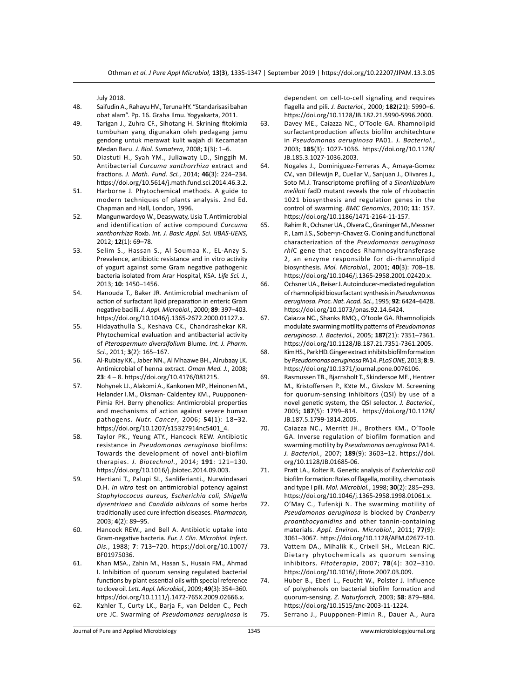July 2018.

- 48. Saifudin A., Rahayu HV., Teruna HY. "Standarisasi bahan obat alam". Pp. 16. Graha Ilmu. Yogyakarta, 2011.
- 49. Tarigan J., Zuhra CF., Sihotang H. Skrining fitokimia tumbuhan yang digunakan oleh pedagang jamu gendong untuk merawat kulit wajah di Kecamatan Medan Baru. *J. Biol. Sumatera*, 2008; **1**(3): 1–6.
- 50. Diastuti H., Syah YM., Juliawaty LD., Singgih M. Antibacterial *Curcuma xanthorrhiza* extract and fractions*. J. Math. Fund. Sci.*, 2014; **46**(3): 224–234. https://doi.org/10.5614/j.math.fund.sci.2014.46.3.2.
- 51. Harborne J. Phytochemical methods. A guide to modern techniques of plants analysis. 2nd Ed. Chapman and Hall, London, 1996.
- 52. Mangunwardoyo W., Deasywaty, Usia T. Antimicrobial and identification of active compound *Curcuma xanthorrhiza* Roxb. *Int. J. Basic Appl. Sci. IJBAS-IJENS,* 2012; **12**(1): 69–78.
- 53. Selim S., Hassan S., Al Soumaa K., EL-Anzy S. Prevalence, antibiotic resistance and in vitro activity of yogurt against some Gram negative pathogenic bacteria isolated from Arar Hospital, KSA. *Life Sci. J.*, 2013; **10**: 1450–1456.
- 54. Hanouda T., Baker JR. Antimicrobial mechanism of action of surfactant lipid preparation in enteric Gram negative bacilli. *J. Appl. Microbiol.*, 2000; **89**: 397–403. https://doi.org/10.1046/j.1365-2672.2000.01127.x.
- 55. Hidayathulla S., Keshava CK., Chandrashekar KR. Phytochemical evaluation and antibacterial activity of *Pterospermum diversifolium* Blume. *Int. J. Pharm. Sci.*, 2011; **3**(2): 165–167.
- 56. Al-Rubiay KK., Jaber NN., Al Mhaawe BH., Alrubaay LK. Antimicrobial of henna extract. *Oman Med. J.*, 2008; **23**: 4 – 8. https://doi.org/10.4176/081215.
- 57. Nohynek LJ., Alakomi A., Kankonen MP., Heinonen M., Helander I.M., Oksman- Caldentey KM., Puupponen-Pimia RH. Berry phenolics: Antimicrobial properties and mechanisms of action against severe human pathogens. *Nutr. Cancer*, 2006; **54**(1): 18–32. https://doi.org/10.1207/s15327914nc5401\_4.
- 58. Taylor PK., Yeung ATY., Hancock REW. Antibiotic resistance in *Pseudomonas aeruginosa* biofilms: Towards the development of novel anti-biofilm therapies. *J. Biotechnol.*, 2014; **191**: 121–130. https://doi.org/10.1016/j.jbiotec.2014.09.003.
- 59. Hertiani T., Palupi SI., Sanliferianti., Nurwindasari D.H. *In vitro* test on antimicrobial potency against *Staphyloccocus aureus, Escherichia coli, Shigella dysentriaea* and *Candida albicans* of some herbs traditionally used cure infection diseases*. Pharmacon,* 2003; **4**(2): 89–95.
- 60. Hancock REW., and Bell A. Antibiotic uptake into Gram-negative bacteria*. Eur. J. Clin. Microbiol. Infect. Dis.*, 1988; **7**: 713–720. https://doi.org/10.1007/ BF01975036.
- 61. Khan MSA., Zahin M., Hasan S., Husain FM., Ahmad I. Inhibition of quorum sensing regulated bacterial functions by plant essential oils with special reference to clove oil. *Lett. Appl. Microbiol.,* 2009; **49**(3): 354–360. https://doi.org/10.1111/j.1472-765X.2009.02666.x.
- 62. Kצhler T., Curty LK., Barja F., van Delden C., Pech טre JC. Swarming of *Pseudomonas aeruginosa* is

dependent on cell-to-cell signaling and requires flagella and pili. *J. Bacteriol.,* 2000; **182**(21): 5990–6. https://doi.org/10.1128/JB.182.21.5990-5996.2000.

- 63. Davey ME., Caiazza NC., O'Toole GA. Rhamnolipid surfactantproduction affects biofilm architechture in *Pseudomonas aeruginosa* PA01. *J. Bacteriol.*, 2003; **185**(3): 1027-1036. https://doi.org/10.1128/ JB.185.3.1027-1036.2003.
- 64. Nogales J., Dominiguez-Ferreras A., Amaya-Gomez CV., van Dillewijn P., Cuellar V., Sanjuan J., Olivares J., Soto M.J. Transcriptome profiling of a *Sinorhizobium meliloti* fadD mutant reveals the role of rhizobactin 1021 biosynthesis and regulation genes in the control of swarming. *BMC Genomics*, 2010; **11**: 157. https://doi.org/10.1186/1471-2164-11-157.
- 65. Rahim R., Ochsner UA., Olvera C., Graninger M., Messner P., Lam J.S., Soberףn-Chavez G. Cloning and functional characterization of the *Pseudomonas aeruginosa rhl*C gene that encodes Rhamnosyltransferase 2, an enzyme responsible for di-rhamnolipid biosynthesis. *Mol. Microbiol.*, 2001; **40**(3): 708–18. https://doi.org/10.1046/j.1365-2958.2001.02420.x.
- 66. Ochsner UA., Reiser J. Autoinducer-mediated regulation of rhamnolipid biosurfactant synthesis in *Pseudomonas aeruginosa. Proc. Nat. Acad. Sci.*, 1995; **92**: 6424–6428. https://doi.org/10.1073/pnas.92.14.6424.
- 67. Caiazza NC., Shanks RMQ., O'toole GA. Rhamnolipids modulate swarming motility patterns of *Pseudomonas aeruginosa*. *J. Bacteriol.*, 2005; **187**(21): 7351–7361. https://doi.org/10.1128/JB.187.21.7351-7361.2005.
- 68. Kim HS., Park HD. Ginger extract inhibits biofilm formation by *Pseudomonas aeruginosa* PA14. *PLoS ONE,* 2013; **8**: 9. https://doi.org/10.1371/journal.pone.0076106.
- 69. Rasmussen TB., Bjarnsholt T., Skindersoe ME., Hentzer M., Kristoffersen P., Kצte M., Givskov M. Screening for quorum-sensing inhibitors (QSI) by use of a novel genetic system, the QSI selector. *J. Bacteriol.*, 2005; **187**(5): 1799–814. https://doi.org/10.1128/ JB.187.5.1799-1814.2005.
- 70. Caiazza NC., Merritt JH., Brothers KM., O'Toole GA. Inverse regulation of biofilm formation and swarming motility by *Pseudomonas aeruginosa* PA14. *J. Bacteriol.*, 2007; **189**(9): 3603–12. https://doi. org/10.1128/JB.01685-06.
- 71. Pratt LA., Kolter R. Genetic analysis of *Escherichia coli* biofilm formation: Roles of flagella, motility, chemotaxis and type I pili. *Mol. Microbiol.*, 1998; **30**(2): 285–293. https://doi.org/10.1046/j.1365-2958.1998.01061.x.
- 72. O'May C., Tufenkji N. The swarming motility of *Pseudomonas aeruginosa* is blocked by *Cranberry proanthocyanidins* and other tannin-containing materials. *Appl. Environ. Microbiol.*, 2011; **77**(9): 3061–3067. https://doi.org/10.1128/AEM.02677-10.
- 73. Vattem DA., Mihalik K., Crixell SH., McLean RJC. Dietary phytochemicals as quorum sensing inhibitors. *Fitoterapia*, 2007; **78**(4): 302–310. https://doi.org/10.1016/j.fitote.2007.03.009.
- 74. Huber B., Eberl L., Feucht W., Polster J. Influence of polyphenols on bacterial biofilm formation and quorum-sensing. *Z. Naturforsch,* 2003; **58**: 879–884. https://doi.org/10.1515/znc-2003-11-1224.
- 75. Serrano J., Puupponen-Pimiה R., Dauer A., Aura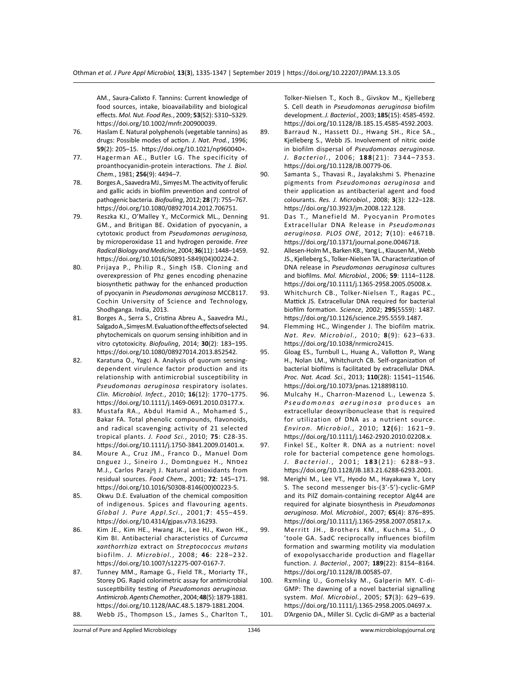AM., Saura-Calixto F. Tannins: Current knowledge of food sources, intake, bioavailability and biological effects. *Mol. Nut. Food Res.*, 2009; **53**(S2): S310–S329. https://doi.org/10.1002/mnfr.200900039.

- 76. Haslam E. Natural polyphenols (vegetable tannins) as drugs: Possible modes of action. *J. Nat. Prod.*, 1996; **59**(2): 205–15. https://doi.org/10.1021/np960040+.
- 77. Hagerman AE., Butler LG. The specificity of proanthocyanidin-protein interactions. *The J. Biol. Chem.*, 1981; **256**(9): 4494–7.
- 78. Borges A., Saavedra MJ., Simץes M. The activity of ferulic and gallic acids in biofilm prevention and control of pathogenic bacteria. *Biofouling*, 2012; **28** (7): 755–767. https://doi.org/10.1080/08927014.2012.706751.
- 79. Reszka KJ., O'Malley Y., McCormick ML., Denning GM., and Britigan BE. Oxidation of pyocyanin, a cytotoxic product from *Pseudomonas aeruginosa,* by microperoxidase 11 and hydrogen peroxide. *Free Radical Biology and Medicine*, 2004; **36**(11): 1448–1459. https://doi.org/10.1016/S0891-5849(04)00224-2.
- 80. Prijaya P., Philip R., Singh ISB. Cloning and overexpression of Phz genes encoding phenazine biosynthetic pathway for the enhanced production of pyocyanin in *Pseudomonas aeruginosa* MCCB117. Cochin University of Science and Technology, Shodhganga. India, 2013.
- 81. Borges A., Serra S., Cristina Abreu A., Saavedra MJ., Salgado A., Simץes M. Evaluation of the effects of selected phytochemicals on quorum sensing inhibition and in vitro cytotoxicity. *Biofouling*, 2014; **30**(2): 183–195. https://doi.org/10.1080/08927014.2013.852542.
- 82. Karatuna O., Yagci A. Analysis of quorum sensingdependent virulence factor production and its relationship with antimicrobial susceptibility in *Pseudomonas aeruginosa* respiratory isolates. *Clin. Microbiol. Infect.*, 2010; **16**(12): 1770–1775. https://doi.org/10.1111/j.1469-0691.2010.03177.x.
- 83. Mustafa RA., Abdul Hamid A., Mohamed S., Bakar FA. Total phenolic compounds, flavonoids, and radical scavenging activity of 21 selected tropical plants. *J. Food Sci.*, 2010; **75**: C28-35. https://doi.org/10.1111/j.1750-3841.2009.01401.x.
- 84. Moure A., Cruz JM., Franco D., Manuel Dom םnguez J., Sineiro J., Domםnguez H., Nסתez M.J., Carlos Parajף J. Natural antioxidants from residual sources. *Food Chem.*, 2001; **72**: 145–171. https://doi.org/10.1016/S0308-8146(00)00223-5.
- 85. Okwu D.E. Evaluation of the chemical composition of indigenous. Spices and flavouring agents. *Global J. Pure Appl.Sci.*, 2001;**7**: 455–459. https://doi.org/10.4314/gjpas.v7i3.16293.
- 86. Kim JE., Kim HE., Hwang JK., Lee HJ., Kwon HK., Kim BI. Antibacterial characteristics of *Curcuma xanthorrhiza* extract on *Streptococcus mutans* biofilm. *J. Microbiol.*, 2008; **46**: 228–232. https://doi.org/10.1007/s12275-007-0167-7.
- 87. Tunney MM., Ramage G., Field TR., Moriarty TF., Storey DG. Rapid colorimetric assay for antimicrobial susceptibility testing of *Pseudomonas aeruginosa. Antimicrob. Agents Chemother.*, 2004; **48**(5): 1879-1881. https://doi.org/10.1128/AAC.48.5.1879-1881.2004. 88. Webb JS., Thompson LS., James S., Charlton T.,

Tolker-Nielsen T., Koch B., Givskov M., Kjelleberg S. Cell death in *Pseudomonas aeruginosa* biofilm development. *J. Bacteriol.*, 2003; **185**(15): 4585-4592. https://doi.org/10.1128/JB.185.15.4585-4592.2003.

- 89. Barraud N., Hassett DJ., Hwang SH., Rice SA., Kjelleberg S., Webb JS. Involvement of nitric oxide in biofilm dispersal of *Pseudomonas aeruginosa. J. Bacteriol.*, 2006; **188**(21): 7344–7353. https://doi.org/10.1128/JB.00779-06.
- 90. Samanta S., Thavasi R., Jayalakshmi S. Phenazine pigments from *Pseudomonas aeruginosa* and their application as antibacterial agent and food colourants. *Res. J. Microbiol.*, 2008; **3**(3): 122–128. https://doi.org/10.3923/jm.2008.122.128.
- 91. Das T., Manefield M. Pyocyanin Promotes Extracellular DNA Release in *Pseudomonas aeruginosa. PLOS ONE*, 2012; **7**(10): e4671B. https://doi.org/10.1371/journal.pone.0046718.
- 92. Allesen-Holm M., Barken KB., Yang L., Klausen M., Webb JS., Kjelleberg S., Tolker-Nielsen TA. Characterization of DNA release in *Pseudomonas aeruginosa* cultures and biofilms. *Mol. Microbiol.*, 2006; **59**: 1114–1128. https://doi.org/10.1111/j.1365-2958.2005.05008.x.
- 93. Whitchurch CB., Tolker-Nielsen T., Ragas PC., Mattick JS. Extracellular DNA required for bacterial biofilm formation. *Science*, 2002; **295**(5559): 1487. https://doi.org/10.1126/science.295.5559.1487.
- 94. Flemming HC., Wingender J. The biofilm matrix. *Nat. Rev. Microbiol.,* 2010; **8**(9): 623–633. https://doi.org/10.1038/nrmicro2415.
- 95. Gloag ES., Turnbull L., Huang A., Vallotton P., Wang H., Nolan LM., Whitchurch CB. Self-organization of bacterial biofilms is facilitated by extracellular DNA. *Proc. Nat. Acad. Sci.*, 2013; **110**(28): 11541–11546. https://doi.org/10.1073/pnas.1218898110.
- 96. Mulcahy H., Charron-Mazenod L., Lewenza S. *Pseudomonas aeruginosa* produces an extracellular deoxyribonuclease that is required for utilization of DNA as a nutrient source. *Environ. Microbiol.,* 2010; **12(**6): 1621–9. https://doi.org/10.1111/j.1462-2920.2010.02208.x.
- 97. Finkel SE., Kolter R. DNA as a nutrient: novel role for bacterial competence gene homologs*. J. Bacteriol.* , 2001; **183** ( 2 1 ) : 6 2 8 8 – 9 3 . https://doi.org/10.1128/JB.183.21.6288-6293.2001.
- 98. Merighi M., Lee VT., Hyodo M., Hayakawa Y., Lory S. The second messenger bis-(3'-5')-cyclic-GMP and its PilZ domain-containing receptor Alg44 are required for alginate biosynthesis in *Pseudomonas aeruginosa*. *Mol. Microbiol.*, 2007; **65**(4): 876–895. https://doi.org/10.1111/j.1365-2958.2007.05817.x.
- 99. Merritt JH., Brothers KM., Kuchma SL., O 'toole GA. SadC reciprocally influences biofilm formation and swarming motility via modulation of exopolysaccharide production and flagellar function. *J. Bacteriol.*, 2007; **189**(22): 8154–8164. https://doi.org/10.1128/JB.00585-07.
- 100. Rצmling U., Gomelsky M., Galperin MY. C-di-GMP: The dawning of a novel bacterial signalling system. *Mol. Microbiol.*, 2005; **57**(3): 629–639. https://doi.org/10.1111/j.1365-2958.2005.04697.x. 101. D'Argenio DA., Miller SI. Cyclic di-GMP as a bacterial

Journal of Pure and Applied Microbiology